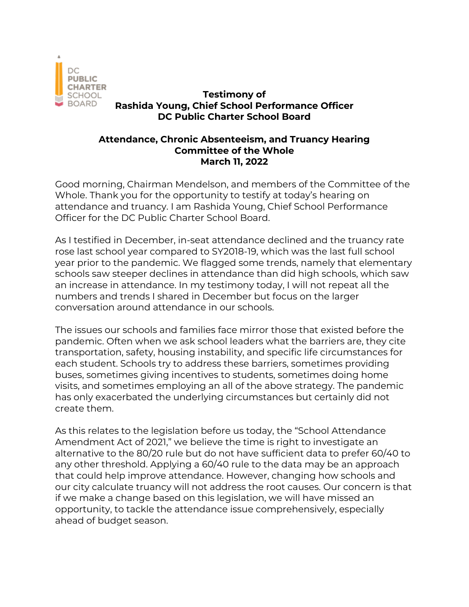

## **Testimony of Rashida Young, Chief School Performance Officer DC Public Charter School Board**

## **Attendance, Chronic Absenteeism, and Truancy Hearing Committee of the Whole March 11, 2022**

Good morning, Chairman Mendelson, and members of the Committee of the Whole. Thank you for the opportunity to testify at today's hearing on attendance and truancy. I am Rashida Young, Chief School Performance Officer for the DC Public Charter School Board.

As I testified in December, in-seat attendance declined and the truancy rate rose last school year compared to SY2018-19, which was the last full school year prior to the pandemic. We flagged some trends, namely that elementary schools saw steeper declines in attendance than did high schools, which saw an increase in attendance. In my testimony today, I will not repeat all the numbers and trends I shared in December but focus on the larger conversation around attendance in our schools.

The issues our schools and families face mirror those that existed before the pandemic. Often when we ask school leaders what the barriers are, they cite transportation, safety, housing instability, and specific life circumstances for each student. Schools try to address these barriers, sometimes providing buses, sometimes giving incentives to students, sometimes doing home visits, and sometimes employing an all of the above strategy. The pandemic has only exacerbated the underlying circumstances but certainly did not create them.

As this relates to the legislation before us today, the "School Attendance Amendment Act of 2021," we believe the time is right to investigate an alternative to the 80/20 rule but do not have sufficient data to prefer 60/40 to any other threshold. Applying a 60/40 rule to the data may be an approach that could help improve attendance. However, changing how schools and our city calculate truancy will not address the root causes. Our concern is that if we make a change based on this legislation, we will have missed an opportunity, to tackle the attendance issue comprehensively, especially ahead of budget season.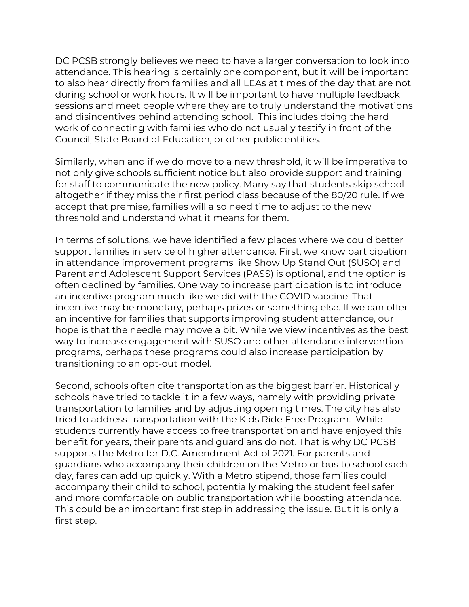DC PCSB strongly believes we need to have a larger conversation to look into attendance. This hearing is certainly one component, but it will be important to also hear directly from families and all LEAs at times of the day that are not during school or work hours. It will be important to have multiple feedback sessions and meet people where they are to truly understand the motivations and disincentives behind attending school. This includes doing the hard work of connecting with families who do not usually testify in front of the Council, State Board of Education, or other public entities.

Similarly, when and if we do move to a new threshold, it will be imperative to not only give schools sufficient notice but also provide support and training for staff to communicate the new policy. Many say that students skip school altogether if they miss their first period class because of the 80/20 rule. If we accept that premise, families will also need time to adjust to the new threshold and understand what it means for them.

In terms of solutions, we have identified a few places where we could better support families in service of higher attendance. First, we know participation in attendance improvement programs like Show Up Stand Out (SUSO) and Parent and Adolescent Support Services (PASS) is optional, and the option is often declined by families. One way to increase participation is to introduce an incentive program much like we did with the COVID vaccine. That incentive may be monetary, perhaps prizes or something else. If we can offer an incentive for families that supports improving student attendance, our hope is that the needle may move a bit. While we view incentives as the best way to increase engagement with SUSO and other attendance intervention programs, perhaps these programs could also increase participation by transitioning to an opt-out model.

Second, schools often cite transportation as the biggest barrier. Historically schools have tried to tackle it in a few ways, namely with providing private transportation to families and by adjusting opening times. The city has also tried to address transportation with the Kids Ride Free Program. While students currently have access to free transportation and have enjoyed this benefit for years, their parents and guardians do not. That is why DC PCSB supports the Metro for D.C. Amendment Act of 2021. For parents and guardians who accompany their children on the Metro or bus to school each day, fares can add up quickly. With a Metro stipend, those families could accompany their child to school, potentially making the student feel safer and more comfortable on public transportation while boosting attendance. This could be an important first step in addressing the issue. But it is only a first step.